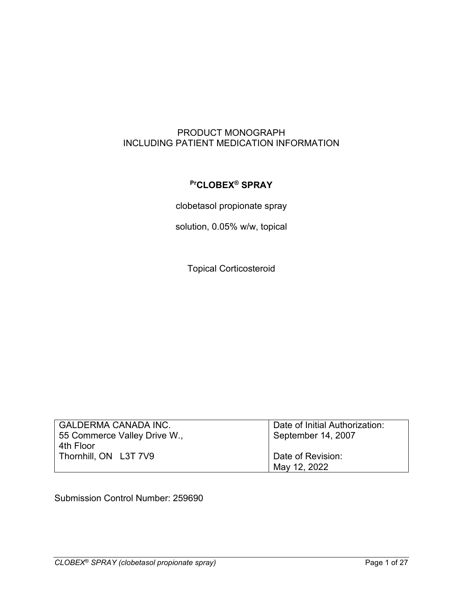## PRODUCT MONOGRAPH INCLUDING PATIENT MEDICATION INFORMATION

# **PrCLOBEX® SPRAY**

clobetasol propionate spray

solution, 0.05% w/w, topical

Topical Corticosteroid

| <b>GALDERMA CANADA INC.</b>  | Date of Initial Authorization: |  |
|------------------------------|--------------------------------|--|
| 55 Commerce Valley Drive W., | September 14, 2007             |  |
| 4th Floor                    |                                |  |
| Thornhill, ON L3T 7V9        | Date of Revision:              |  |
|                              | May 12, 2022                   |  |

Submission Control Number: 259690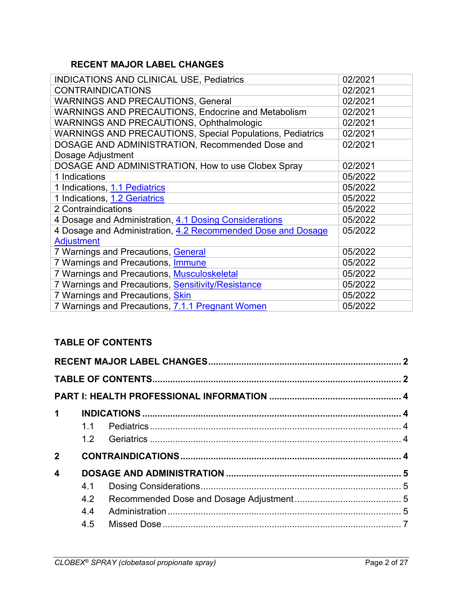# <span id="page-1-0"></span>**RECENT MAJOR LABEL CHANGES**

| <b>INDICATIONS AND CLINICAL USE, Pediatrics</b>                  | 02/2021 |
|------------------------------------------------------------------|---------|
| <b>CONTRAINDICATIONS</b>                                         | 02/2021 |
| <b>WARNINGS AND PRECAUTIONS, General</b>                         | 02/2021 |
| <b>WARNINGS AND PRECAUTIONS, Endocrine and Metabolism</b>        | 02/2021 |
| <b>WARNINGS AND PRECAUTIONS, Ophthalmologic</b>                  | 02/2021 |
| <b>WARNINGS AND PRECAUTIONS, Special Populations, Pediatrics</b> | 02/2021 |
| DOSAGE AND ADMINISTRATION, Recommended Dose and                  | 02/2021 |
| Dosage Adjustment                                                |         |
| DOSAGE AND ADMINISTRATION, How to use Clobex Spray               | 02/2021 |
| 1 Indications                                                    | 05/2022 |
| 1 Indications, 1.1 Pediatrics                                    | 05/2022 |
| 1 Indications, 1.2 Geriatrics                                    | 05/2022 |
| 2 Contraindications                                              | 05/2022 |
| 4 Dosage and Administration, 4.1 Dosing Considerations           | 05/2022 |
| 4 Dosage and Administration, 4.2 Recommended Dose and Dosage     | 05/2022 |
| <b>Adjustment</b>                                                |         |
| 7 Warnings and Precautions, General                              | 05/2022 |
| 7 Warnings and Precautions, Immune                               | 05/2022 |
| 7 Warnings and Precautions, Musculoskeletal                      | 05/2022 |
| 7 Warnings and Precautions, Sensitivity/Resistance               | 05/2022 |
| 7 Warnings and Precautions, <i>Skin</i>                          | 05/2022 |
| 7 Warnings and Precautions, 7.1.1 Pregnant Women                 | 05/2022 |

# <span id="page-1-1"></span>**TABLE OF CONTENTS**

| $\mathbf 1$             |     |  |
|-------------------------|-----|--|
|                         | 1.1 |  |
|                         |     |  |
| $\mathbf{2}$            |     |  |
| $\overline{\mathbf{4}}$ |     |  |
|                         | 4.1 |  |
|                         | 4.2 |  |
|                         | 4.4 |  |
|                         | 4.5 |  |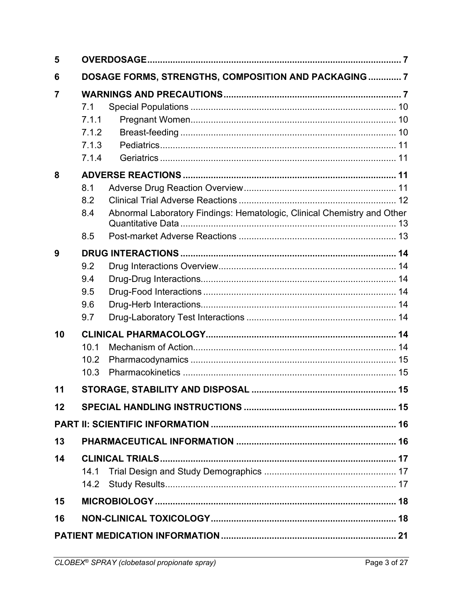| 5  |                                         |                                                                         |  |
|----|-----------------------------------------|-------------------------------------------------------------------------|--|
| 6  |                                         | DOSAGE FORMS, STRENGTHS, COMPOSITION AND PACKAGING  7                   |  |
| 7  | 7.1<br>7.1.1<br>7.1.2<br>7.1.3<br>7.1.4 |                                                                         |  |
| 8  |                                         |                                                                         |  |
|    | 8.1<br>8.2<br>8.4<br>8.5                | Abnormal Laboratory Findings: Hematologic, Clinical Chemistry and Other |  |
| 9  |                                         |                                                                         |  |
|    | 9.2<br>9.4<br>9.5<br>9.6<br>9.7         |                                                                         |  |
| 10 |                                         |                                                                         |  |
|    | 10.1<br>10.2<br>10.3                    |                                                                         |  |
| 11 |                                         |                                                                         |  |
| 12 |                                         |                                                                         |  |
|    |                                         |                                                                         |  |
| 13 |                                         |                                                                         |  |
| 14 |                                         |                                                                         |  |
|    | 14.1<br>14.2                            |                                                                         |  |
| 15 |                                         |                                                                         |  |
| 16 |                                         |                                                                         |  |
|    |                                         |                                                                         |  |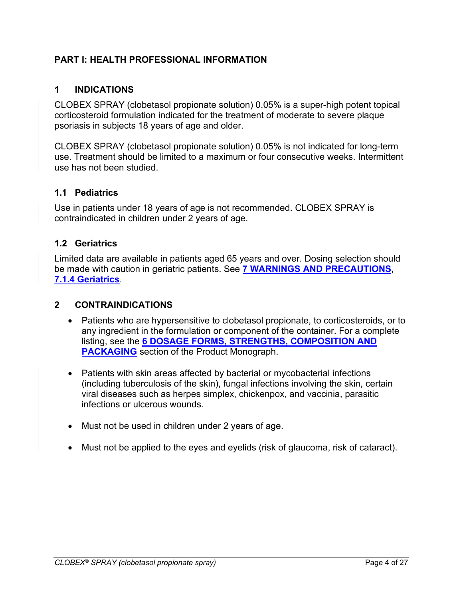## <span id="page-3-2"></span>**PART I: HEALTH PROFESSIONAL INFORMATION**

### <span id="page-3-3"></span>**1 INDICATIONS**

CLOBEX SPRAY (clobetasol propionate solution) 0.05% is a super-high potent topical corticosteroid formulation indicated for the treatment of moderate to severe plaque psoriasis in subjects 18 years of age and older.

CLOBEX SPRAY (clobetasol propionate solution) 0.05% is not indicated for long-term use. Treatment should be limited to a maximum or four consecutive weeks. Intermittent use has not been studied.

#### <span id="page-3-0"></span>**1.1 Pediatrics**

Use in patients under 18 years of age is not recommended. CLOBEX SPRAY is contraindicated in children under 2 years of age.

### <span id="page-3-1"></span>**1.2 Geriatrics**

Limited data are available in patients aged 65 years and over. Dosing selection should be made with caution in geriatric patients. See **[7 WARNINGS AND PRECAUTIONS,](#page-6-4) [7.1.4 Geriatrics](#page-10-1)**.

#### <span id="page-3-4"></span>**2 CONTRAINDICATIONS**

- Patients who are hypersensitive to clobetasol propionate, to corticosteroids, or to any ingredient in the formulation or component of the container. For a complete listing, see the **[6 DOSAGE FORMS, STRENGTHS, COMPOSITION AND](#page-6-3)  [PACKAGING](#page-6-3)** section of the Product Monograph.
- Patients with skin areas affected by bacterial or mycobacterial infections (including tuberculosis of the skin), fungal infections involving the skin, certain viral diseases such as herpes simplex, chickenpox, and vaccinia, parasitic infections or ulcerous wounds.
- Must not be used in children under 2 years of age.
- <span id="page-3-5"></span>• Must not be applied to the eyes and eyelids (risk of glaucoma, risk of cataract).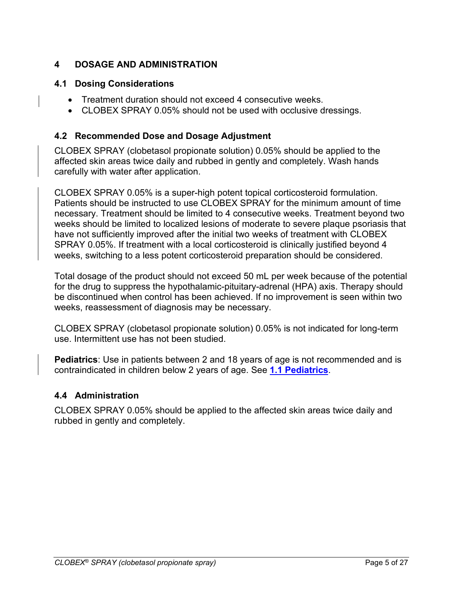## <span id="page-4-2"></span>**4 DOSAGE AND ADMINISTRATION**

### **4.1 Dosing Considerations**

- <span id="page-4-0"></span>• Treatment duration should not exceed 4 consecutive weeks.
- CLOBEX SPRAY 0.05% should not be used with occlusive dressings.

### <span id="page-4-1"></span>**4.2 Recommended Dose and Dosage Adjustment**

CLOBEX SPRAY (clobetasol propionate solution) 0.05% should be applied to the affected skin areas twice daily and rubbed in gently and completely. Wash hands carefully with water after application.

CLOBEX SPRAY 0.05% is a super-high potent topical corticosteroid formulation. Patients should be instructed to use CLOBEX SPRAY for the minimum amount of time necessary. Treatment should be limited to 4 consecutive weeks. Treatment beyond two weeks should be limited to localized lesions of moderate to severe plaque psoriasis that have not sufficiently improved after the initial two weeks of treatment with CLOBEX SPRAY 0.05%. If treatment with a local corticosteroid is clinically justified beyond 4 weeks, switching to a less potent corticosteroid preparation should be considered.

Total dosage of the product should not exceed 50 mL per week because of the potential for the drug to suppress the hypothalamic-pituitary-adrenal (HPA) axis. Therapy should be discontinued when control has been achieved. If no improvement is seen within two weeks, reassessment of diagnosis may be necessary.

CLOBEX SPRAY (clobetasol propionate solution) 0.05% is not indicated for long-term use. Intermittent use has not been studied.

**Pediatrics**: Use in patients between 2 and 18 years of age is not recommended and is contraindicated in children below 2 years of age. See **[1.1 Pediatrics](#page-3-0)**.

## <span id="page-4-3"></span>**4.4 Administration**

CLOBEX SPRAY 0.05% should be applied to the affected skin areas twice daily and rubbed in gently and completely.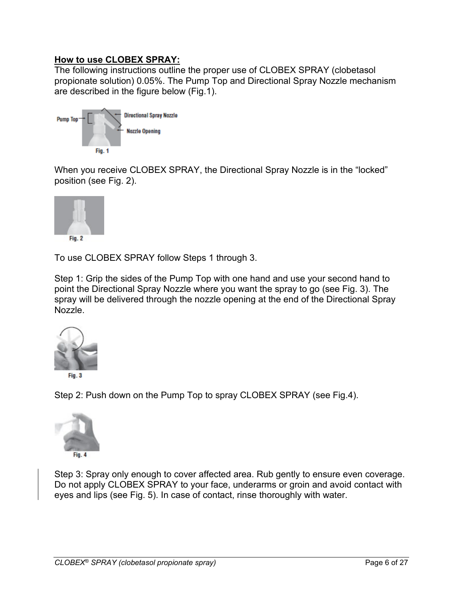## **How to use CLOBEX SPRAY:**

The following instructions outline the proper use of CLOBEX SPRAY (clobetasol propionate solution) 0.05%. The Pump Top and Directional Spray Nozzle mechanism are described in the figure below (Fig.1).



When you receive CLOBEX SPRAY, the Directional Spray Nozzle is in the "locked" position (see Fig. 2).



To use CLOBEX SPRAY follow Steps 1 through 3.

Step 1: Grip the sides of the Pump Top with one hand and use your second hand to point the Directional Spray Nozzle where you want the spray to go (see Fig. 3). The spray will be delivered through the nozzle opening at the end of the Directional Spray Nozzle.



Step 2: Push down on the Pump Top to spray CLOBEX SPRAY (see Fig.4).



Step 3: Spray only enough to cover affected area. Rub gently to ensure even coverage. Do not apply CLOBEX SPRAY to your face, underarms or groin and avoid contact with eyes and lips (see Fig. 5). In case of contact, rinse thoroughly with water.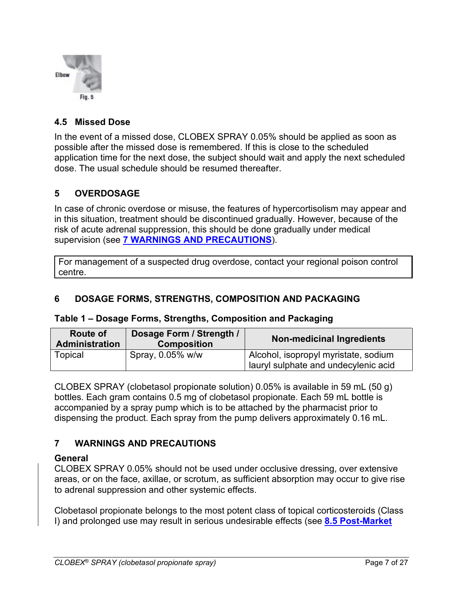

### <span id="page-6-1"></span>**4.5 Missed Dose**

In the event of a missed dose, CLOBEX SPRAY 0.05% should be applied as soon as possible after the missed dose is remembered. If this is close to the scheduled application time for the next dose, the subject should wait and apply the next scheduled dose. The usual schedule should be resumed thereafter.

## <span id="page-6-2"></span>**5 OVERDOSAGE**

In case of chronic overdose or misuse, the features of hypercortisolism may appear and in this situation, treatment should be discontinued gradually. However, because of the risk of acute adrenal suppression, this should be done gradually under medical supervision (see **[7 WARNINGS AND PRECAUTIONS](#page-6-4)**).

For management of a suspected drug overdose, contact your regional poison control centre.

### <span id="page-6-3"></span>**6 DOSAGE FORMS, STRENGTHS, COMPOSITION AND PACKAGING**

#### **Table 1 – Dosage Forms, Strengths, Composition and Packaging**

| Route of<br><b>Administration</b> | Dosage Form / Strength /<br><b>Composition</b> | <b>Non-medicinal Ingredients</b>                                             |  |
|-----------------------------------|------------------------------------------------|------------------------------------------------------------------------------|--|
| Topical                           | Spray, 0.05% w/w                               | Alcohol, isopropyl myristate, sodium<br>lauryl sulphate and undecylenic acid |  |

CLOBEX SPRAY (clobetasol propionate solution) 0.05% is available in 59 mL (50 g) bottles. Each gram contains 0.5 mg of clobetasol propionate. Each 59 mL bottle is accompanied by a spray pump which is to be attached by the pharmacist prior to dispensing the product. Each spray from the pump delivers approximately 0.16 mL.

## <span id="page-6-4"></span>**7 WARNINGS AND PRECAUTIONS**

#### <span id="page-6-0"></span>**General**

CLOBEX SPRAY 0.05% should not be used under occlusive dressing, over extensive areas, or on the face, axillae, or scrotum, as sufficient absorption may occur to give rise to adrenal suppression and other systemic effects.

Clobetasol propionate belongs to the most potent class of topical corticosteroids (Class I) and prolonged use may result in serious undesirable effects (see **[8.5 Post-Market](#page-12-1)**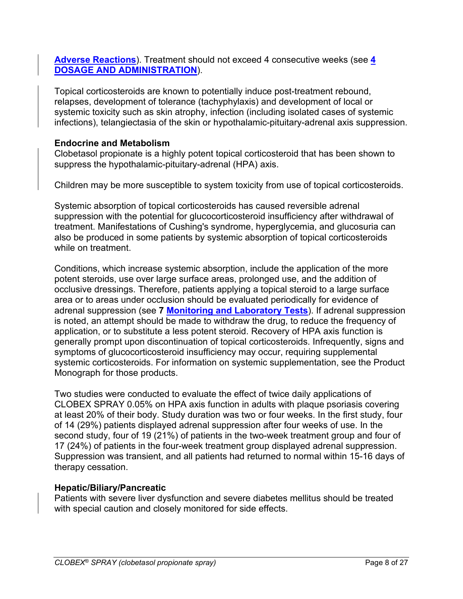**[Adverse Reactions](#page-12-1)**). Treatment should not exceed 4 consecutive weeks (see **[4](#page-3-5)  [DOSAGE AND ADMINISTRATION](#page-3-5)**).

Topical corticosteroids are known to potentially induce post-treatment rebound, relapses, development of tolerance (tachyphylaxis) and development of local or systemic toxicity such as skin atrophy, infection (including isolated cases of systemic infections), telangiectasia of the skin or hypothalamic-pituitary-adrenal axis suppression.

## **Endocrine and Metabolism**

Clobetasol propionate is a highly potent topical corticosteroid that has been shown to suppress the hypothalamic-pituitary-adrenal (HPA) axis.

Children may be more susceptible to system toxicity from use of topical corticosteroids.

Systemic absorption of topical corticosteroids has caused reversible adrenal suppression with the potential for glucocorticosteroid insufficiency after withdrawal of treatment. Manifestations of Cushing's syndrome, hyperglycemia, and glucosuria can also be produced in some patients by systemic absorption of topical corticosteroids while on treatment.

Conditions, which increase systemic absorption, include the application of the more potent steroids, use over large surface areas, prolonged use, and the addition of occlusive dressings. Therefore, patients applying a topical steroid to a large surface area or to areas under occlusion should be evaluated periodically for evidence of adrenal suppression (see **7 [Monitoring and Laboratory Tests](#page-8-3)**). If adrenal suppression is noted, an attempt should be made to withdraw the drug, to reduce the frequency of application, or to substitute a less potent steroid. Recovery of HPA axis function is generally prompt upon discontinuation of topical corticosteroids. Infrequently, signs and symptoms of glucocorticosteroid insufficiency may occur, requiring supplemental systemic corticosteroids. For information on systemic supplementation, see the Product Monograph for those products.

Two studies were conducted to evaluate the effect of twice daily applications of CLOBEX SPRAY 0.05% on HPA axis function in adults with plaque psoriasis covering at least 20% of their body. Study duration was two or four weeks. In the first study, four of 14 (29%) patients displayed adrenal suppression after four weeks of use. In the second study, four of 19 (21%) of patients in the two-week treatment group and four of 17 (24%) of patients in the four-week treatment group displayed adrenal suppression. Suppression was transient, and all patients had returned to normal within 15-16 days of therapy cessation.

#### **Hepatic/Biliary/Pancreatic**

Patients with severe liver dysfunction and severe diabetes mellitus should be treated with special caution and closely monitored for side effects.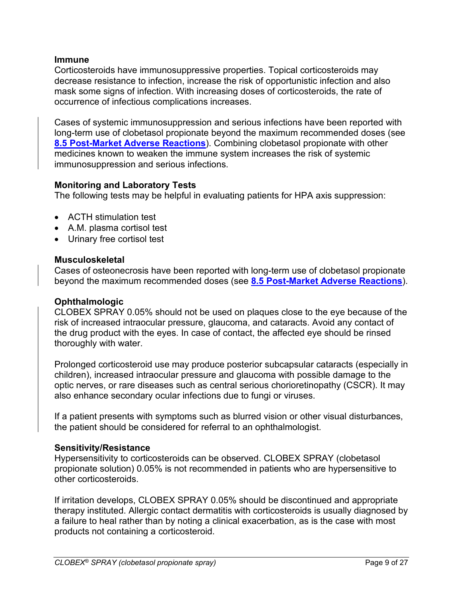#### <span id="page-8-0"></span>**Immune**

Corticosteroids have immunosuppressive properties. Topical corticosteroids may decrease resistance to infection, increase the risk of opportunistic infection and also mask some signs of infection. With increasing doses of corticosteroids, the rate of occurrence of infectious complications increases.

Cases of systemic immunosuppression and serious infections have been reported with long-term use of clobetasol propionate beyond the maximum recommended doses (see **[8.5 Post-Market Adverse Reactions](#page-12-1)**). Combining clobetasol propionate with other medicines known to weaken the immune system increases the risk of systemic immunosuppression and serious infections.

## <span id="page-8-3"></span>**Monitoring and Laboratory Tests**

The following tests may be helpful in evaluating patients for HPA axis suppression:

- ACTH stimulation test
- A.M. plasma cortisol test
- Urinary free cortisol test

#### <span id="page-8-1"></span>**Musculoskeletal**

Cases of osteonecrosis have been reported with long-term use of clobetasol propionate beyond the maximum recommended doses (see **[8.5 Post-Market Adverse Reactions](#page-12-1)**).

### **Ophthalmologic**

CLOBEX SPRAY 0.05% should not be used on plaques close to the eye because of the risk of increased intraocular pressure, glaucoma, and cataracts. Avoid any contact of the drug product with the eyes. In case of contact, the affected eye should be rinsed thoroughly with water.

Prolonged corticosteroid use may produce posterior subcapsular cataracts (especially in children), increased intraocular pressure and glaucoma with possible damage to the optic nerves, or rare diseases such as central serious chorioretinopathy (CSCR). It may also enhance secondary ocular infections due to fungi or viruses.

If a patient presents with symptoms such as blurred vision or other visual disturbances, the patient should be considered for referral to an ophthalmologist.

#### <span id="page-8-2"></span>**Sensitivity/Resistance**

Hypersensitivity to corticosteroids can be observed. CLOBEX SPRAY (clobetasol propionate solution) 0.05% is not recommended in patients who are hypersensitive to other corticosteroids.

If irritation develops, CLOBEX SPRAY 0.05% should be discontinued and appropriate therapy instituted. Allergic contact dermatitis with corticosteroids is usually diagnosed by a failure to heal rather than by noting a clinical exacerbation, as is the case with most products not containing a corticosteroid.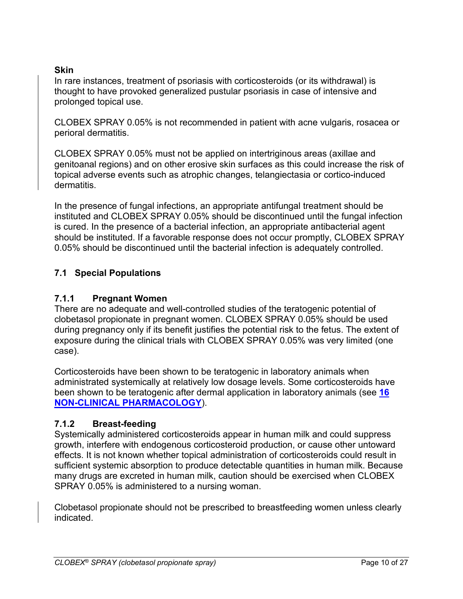## <span id="page-9-0"></span>**Skin**

In rare instances, treatment of psoriasis with corticosteroids (or its withdrawal) is thought to have provoked generalized pustular psoriasis in case of intensive and prolonged topical use.

CLOBEX SPRAY 0.05% is not recommended in patient with acne vulgaris, rosacea or perioral dermatitis.

CLOBEX SPRAY 0.05% must not be applied on intertriginous areas (axillae and genitoanal regions) and on other erosive skin surfaces as this could increase the risk of topical adverse events such as atrophic changes, telangiectasia or cortico-induced dermatitis.

In the presence of fungal infections, an appropriate antifungal treatment should be instituted and CLOBEX SPRAY 0.05% should be discontinued until the fungal infection is cured. In the presence of a bacterial infection, an appropriate antibacterial agent should be instituted. If a favorable response does not occur promptly, CLOBEX SPRAY 0.05% should be discontinued until the bacterial infection is adequately controlled.

## <span id="page-9-2"></span>**7.1 Special Populations**

## <span id="page-9-1"></span>**7.1.1 Pregnant Women**

There are no adequate and well-controlled studies of the teratogenic potential of clobetasol propionate in pregnant women. CLOBEX SPRAY 0.05% should be used during pregnancy only if its benefit justifies the potential risk to the fetus. The extent of exposure during the clinical trials with CLOBEX SPRAY 0.05% was very limited (one case).

Corticosteroids have been shown to be teratogenic in laboratory animals when administrated systemically at relatively low dosage levels. Some corticosteroids have been shown to be teratogenic after dermal application in laboratory animals (see **[16](#page-17-1)  [NON-CLINICAL PHARMACOLOGY](#page-17-1)**).

## <span id="page-9-3"></span>**7.1.2 Breast-feeding**

Systemically administered corticosteroids appear in human milk and could suppress growth, interfere with endogenous corticosteroid production, or cause other untoward effects. It is not known whether topical administration of corticosteroids could result in sufficient systemic absorption to produce detectable quantities in human milk. Because many drugs are excreted in human milk, caution should be exercised when CLOBEX SPRAY 0.05% is administered to a nursing woman.

Clobetasol propionate should not be prescribed to breastfeeding women unless clearly indicated.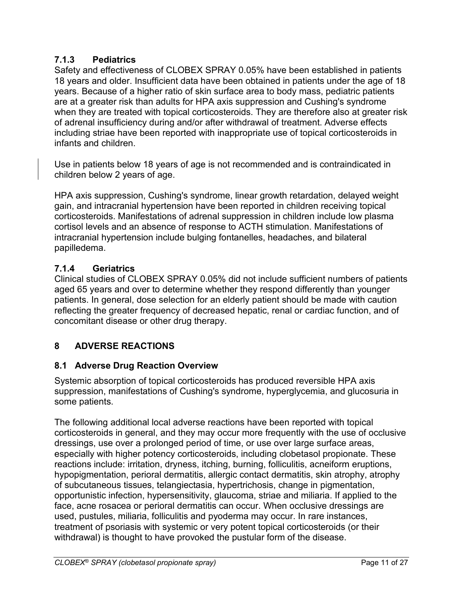## <span id="page-10-0"></span>**7.1.3 Pediatrics**

Safety and effectiveness of CLOBEX SPRAY 0.05% have been established in patients 18 years and older. Insufficient data have been obtained in patients under the age of 18 years. Because of a higher ratio of skin surface area to body mass, pediatric patients are at a greater risk than adults for HPA axis suppression and Cushing's syndrome when they are treated with topical corticosteroids. They are therefore also at greater risk of adrenal insufficiency during and/or after withdrawal of treatment. Adverse effects including striae have been reported with inappropriate use of topical corticosteroids in infants and children.

Use in patients below 18 years of age is not recommended and is contraindicated in children below 2 years of age.

HPA axis suppression, Cushing's syndrome, linear growth retardation, delayed weight gain, and intracranial hypertension have been reported in children receiving topical corticosteroids. Manifestations of adrenal suppression in children include low plasma cortisol levels and an absence of response to ACTH stimulation. Manifestations of intracranial hypertension include bulging fontanelles, headaches, and bilateral papilledema.

# <span id="page-10-1"></span>**7.1.4 Geriatrics**

Clinical studies of CLOBEX SPRAY 0.05% did not include sufficient numbers of patients aged 65 years and over to determine whether they respond differently than younger patients. In general, dose selection for an elderly patient should be made with caution reflecting the greater frequency of decreased hepatic, renal or cardiac function, and of concomitant disease or other drug therapy.

# <span id="page-10-2"></span>**8 ADVERSE REACTIONS**

# <span id="page-10-3"></span>**8.1 Adverse Drug Reaction Overview**

Systemic absorption of topical corticosteroids has produced reversible HPA axis suppression, manifestations of Cushing's syndrome, hyperglycemia, and glucosuria in some patients.

The following additional local adverse reactions have been reported with topical corticosteroids in general, and they may occur more frequently with the use of occlusive dressings, use over a prolonged period of time, or use over large surface areas, especially with higher potency corticosteroids, including clobetasol propionate. These reactions include: irritation, dryness, itching, burning, folliculitis, acneiform eruptions, hypopigmentation, perioral dermatitis, allergic contact dermatitis, skin atrophy, atrophy of subcutaneous tissues, telangiectasia, hypertrichosis, change in pigmentation, opportunistic infection, hypersensitivity, glaucoma, striae and miliaria. If applied to the face, acne rosacea or perioral dermatitis can occur. When occlusive dressings are used, pustules, miliaria, folliculitis and pyoderma may occur. In rare instances, treatment of psoriasis with systemic or very potent topical corticosteroids (or their withdrawal) is thought to have provoked the pustular form of the disease.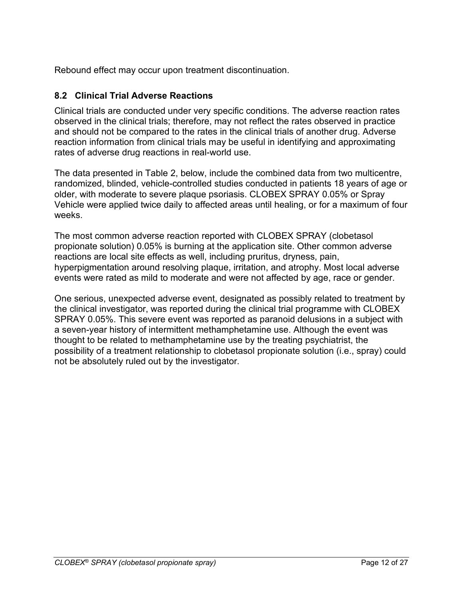Rebound effect may occur upon treatment discontinuation.

### <span id="page-11-0"></span>**8.2 Clinical Trial Adverse Reactions**

Clinical trials are conducted under very specific conditions. The adverse reaction rates observed in the clinical trials; therefore, may not reflect the rates observed in practice and should not be compared to the rates in the clinical trials of another drug. Adverse reaction information from clinical trials may be useful in identifying and approximating rates of adverse drug reactions in real-world use.

The data presented in Table 2, below, include the combined data from two multicentre, randomized, blinded, vehicle-controlled studies conducted in patients 18 years of age or older, with moderate to severe plaque psoriasis. CLOBEX SPRAY 0.05% or Spray Vehicle were applied twice daily to affected areas until healing, or for a maximum of four weeks.

The most common adverse reaction reported with CLOBEX SPRAY (clobetasol propionate solution) 0.05% is burning at the application site. Other common adverse reactions are local site effects as well, including pruritus, dryness, pain, hyperpigmentation around resolving plaque, irritation, and atrophy. Most local adverse events were rated as mild to moderate and were not affected by age, race or gender.

One serious, unexpected adverse event, designated as possibly related to treatment by the clinical investigator, was reported during the clinical trial programme with CLOBEX SPRAY 0.05%. This severe event was reported as paranoid delusions in a subject with a seven-year history of intermittent methamphetamine use. Although the event was thought to be related to methamphetamine use by the treating psychiatrist, the possibility of a treatment relationship to clobetasol propionate solution (i.e., spray) could not be absolutely ruled out by the investigator.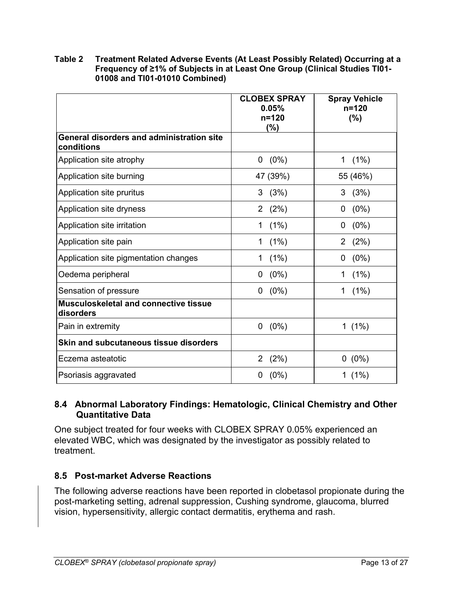#### **Table 2 Treatment Related Adverse Events (At Least Possibly Related) Occurring at a Frequency of ≥1% of Subjects in at Least One Group (Clinical Studies TI01- 01008 and TI01-01010 Combined)**

|                                                                | <b>CLOBEX SPRAY</b>    | <b>Spray Vehicle</b> |
|----------------------------------------------------------------|------------------------|----------------------|
|                                                                | 0.05%                  | $n = 120$            |
|                                                                | $n = 120$              | (%)                  |
|                                                                | (%)                    |                      |
| <b>General disorders and administration site</b><br>conditions |                        |                      |
| Application site atrophy                                       | $(0\%)$<br>0           | (1%)<br>1            |
| Application site burning                                       | 47 (39%)               | 55 (46%)             |
| Application site pruritus                                      | (3%)<br>3              | 3<br>(3%)            |
| Application site dryness                                       | (2%)<br>$\overline{2}$ | $(0\%)$<br>0         |
| Application site irritation                                    | (1%)<br>1              | $(0\%)$<br>0         |
| Application site pain                                          | (1%)<br>$\mathbf 1$    | 2 $(2%)$             |
| Application site pigmentation changes                          | (1%)<br>1              | $(0\%)$<br>0         |
| Oedema peripheral                                              | $(0\%)$<br>0           | (1%)<br>1            |
| Sensation of pressure                                          | $(0\%)$<br>0           | (1%)<br>1            |
| <b>Musculoskeletal and connective tissue</b><br>disorders      |                        |                      |
| Pain in extremity                                              | $(0\%)$<br>0           | 1 $(1%)$             |
| <b>Skin and subcutaneous tissue disorders</b>                  |                        |                      |
| Eczema asteatotic                                              | (2%)<br>$\overline{2}$ | $0(0\%)$             |
| Psoriasis aggravated                                           | $(0\%)$<br>0           | 1 $(1%)$             |

## <span id="page-12-0"></span>**8.4 Abnormal Laboratory Findings: Hematologic, Clinical Chemistry and Other Quantitative Data**

One subject treated for four weeks with CLOBEX SPRAY 0.05% experienced an elevated WBC, which was designated by the investigator as possibly related to treatment.

## <span id="page-12-1"></span>**8.5 Post-market Adverse Reactions**

The following adverse reactions have been reported in clobetasol propionate during the post-marketing setting, adrenal suppression, Cushing syndrome, glaucoma, blurred vision, hypersensitivity, allergic contact dermatitis, erythema and rash.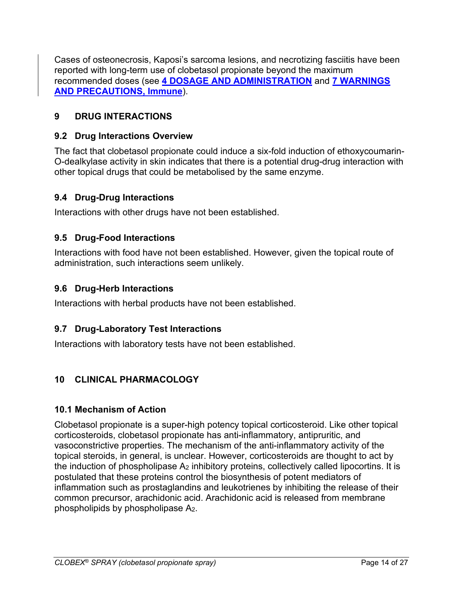Cases of osteonecrosis, Kaposi's sarcoma lesions, and necrotizing fasciitis have been reported with long-term use of clobetasol propionate beyond the maximum recommended doses (see **[4 DOSAGE AND ADMINISTRATION](#page-3-5)** and **[7 WARNINGS](#page-8-0)  [AND PRECAUTIONS, Immune](#page-8-0)**).

# <span id="page-13-0"></span>**9 DRUG INTERACTIONS**

## <span id="page-13-1"></span>**9.2 Drug Interactions Overview**

The fact that clobetasol propionate could induce a six-fold induction of ethoxycoumarin-O-dealkylase activity in skin indicates that there is a potential drug-drug interaction with other topical drugs that could be metabolised by the same enzyme.

## <span id="page-13-2"></span>**9.4 Drug-Drug Interactions**

Interactions with other drugs have not been established.

## <span id="page-13-3"></span>**9.5 Drug-Food Interactions**

Interactions with food have not been established. However, given the topical route of administration, such interactions seem unlikely.

## <span id="page-13-4"></span>**9.6 Drug-Herb Interactions**

Interactions with herbal products have not been established.

## <span id="page-13-5"></span>**9.7 Drug-Laboratory Test Interactions**

Interactions with laboratory tests have not been established.

## <span id="page-13-6"></span>**10 CLINICAL PHARMACOLOGY**

## <span id="page-13-7"></span>**10.1 Mechanism of Action**

Clobetasol propionate is a super-high potency topical corticosteroid. Like other topical corticosteroids, clobetasol propionate has anti-inflammatory, antipruritic, and vasoconstrictive properties. The mechanism of the anti-inflammatory activity of the topical steroids, in general, is unclear. However, corticosteroids are thought to act by the induction of phospholipase A<sub>2</sub> inhibitory proteins, collectively called lipocortins. It is postulated that these proteins control the biosynthesis of potent mediators of inflammation such as prostaglandins and leukotrienes by inhibiting the release of their common precursor, arachidonic acid. Arachidonic acid is released from membrane phospholipids by phospholipase A2.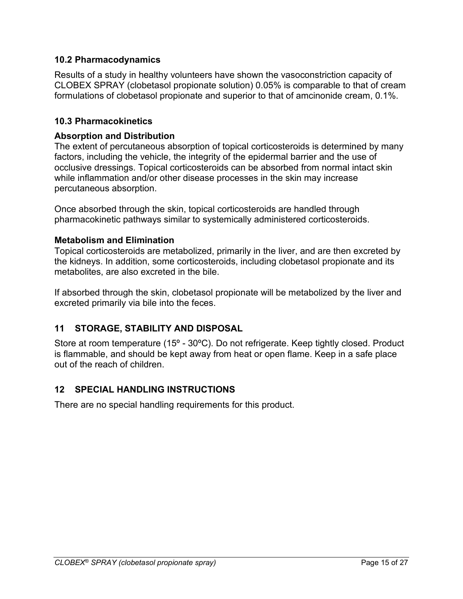## <span id="page-14-0"></span>**10.2 Pharmacodynamics**

Results of a study in healthy volunteers have shown the vasoconstriction capacity of CLOBEX SPRAY (clobetasol propionate solution) 0.05% is comparable to that of cream formulations of clobetasol propionate and superior to that of amcinonide cream, 0.1%.

## <span id="page-14-1"></span>**10.3 Pharmacokinetics**

## **Absorption and Distribution**

The extent of percutaneous absorption of topical corticosteroids is determined by many factors, including the vehicle, the integrity of the epidermal barrier and the use of occlusive dressings. Topical corticosteroids can be absorbed from normal intact skin while inflammation and/or other disease processes in the skin may increase percutaneous absorption.

Once absorbed through the skin, topical corticosteroids are handled through pharmacokinetic pathways similar to systemically administered corticosteroids.

## **Metabolism and Elimination**

Topical corticosteroids are metabolized, primarily in the liver, and are then excreted by the kidneys. In addition, some corticosteroids, including clobetasol propionate and its metabolites, are also excreted in the bile.

If absorbed through the skin, clobetasol propionate will be metabolized by the liver and excreted primarily via bile into the feces.

## <span id="page-14-2"></span>**11 STORAGE, STABILITY AND DISPOSAL**

Store at room temperature (15º - 30ºC). Do not refrigerate. Keep tightly closed. Product is flammable, and should be kept away from heat or open flame. Keep in a safe place out of the reach of children.

## <span id="page-14-3"></span>**12 SPECIAL HANDLING INSTRUCTIONS**

There are no special handling requirements for this product.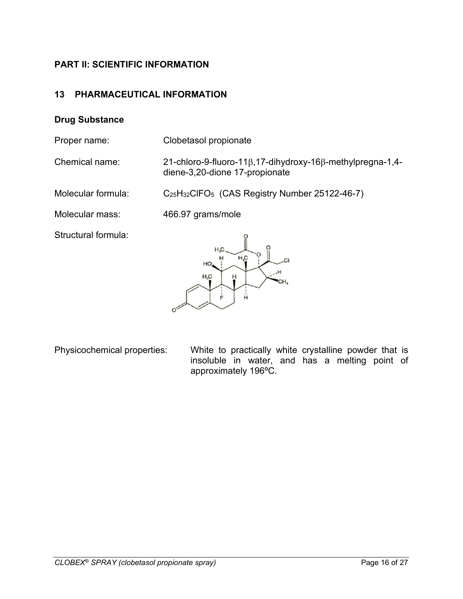## <span id="page-15-0"></span>**PART II: SCIENTIFIC INFORMATION**

### <span id="page-15-1"></span>**13 PHARMACEUTICAL INFORMATION**

#### **Drug Substance**

Proper name: Clobetasol propionate

Chemical name: 21-chloro-9-fluoro-11β,17-dihydroxy-16β-methylpregna-1,4 diene-3,20-dione 17-propionate

Molecular formula: C<sub>25</sub>H<sub>32</sub>ClFO<sub>5</sub> (CAS Registry Number 25122-46-7)

Molecular mass: 466.97 grams/mole

Structural formula:



Physicochemical properties: White to practically white crystalline powder that is insoluble in water, and has a melting point of approximately 196ºC.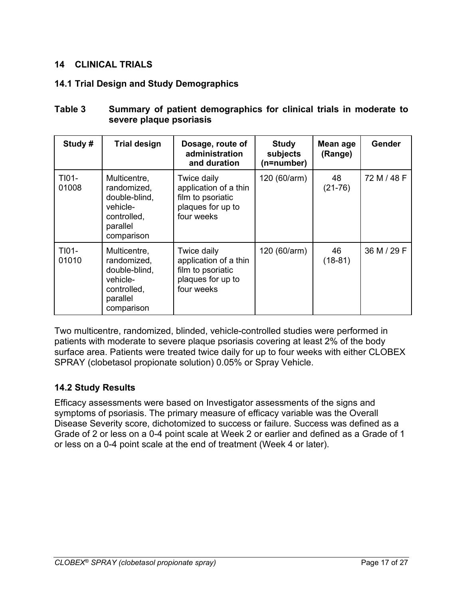## <span id="page-16-0"></span>**14 CLINICAL TRIALS**

## <span id="page-16-1"></span>**14.1 Trial Design and Study Demographics**

| Study #          | <b>Trial design</b>                                                                               | Dosage, route of<br>administration<br>and duration                                           | <b>Study</b><br>subjects<br>(n=number) | Mean age<br>(Range) | <b>Gender</b> |
|------------------|---------------------------------------------------------------------------------------------------|----------------------------------------------------------------------------------------------|----------------------------------------|---------------------|---------------|
| TI01-<br>01008   | Multicentre,<br>randomized,<br>double-blind,<br>vehicle-<br>controlled,<br>parallel<br>comparison | Twice daily<br>application of a thin<br>film to psoriatic<br>plaques for up to<br>four weeks | 120 (60/arm)                           | 48<br>$(21-76)$     | 72 M / 48 F   |
| $T101-$<br>01010 | Multicentre,<br>randomized,<br>double-blind,<br>vehicle-<br>controlled,<br>parallel<br>comparison | Twice daily<br>application of a thin<br>film to psoriatic<br>plaques for up to<br>four weeks | 120 (60/arm)                           | 46<br>$(18-81)$     | 36 M / 29 F   |

## **Table 3 Summary of patient demographics for clinical trials in moderate to severe plaque psoriasis**

Two multicentre, randomized, blinded, vehicle-controlled studies were performed in patients with moderate to severe plaque psoriasis covering at least 2% of the body surface area. Patients were treated twice daily for up to four weeks with either CLOBEX SPRAY (clobetasol propionate solution) 0.05% or Spray Vehicle.

## <span id="page-16-2"></span>**14.2 Study Results**

Efficacy assessments were based on Investigator assessments of the signs and symptoms of psoriasis. The primary measure of efficacy variable was the Overall Disease Severity score, dichotomized to success or failure. Success was defined as a Grade of 2 or less on a 0-4 point scale at Week 2 or earlier and defined as a Grade of 1 or less on a 0-4 point scale at the end of treatment (Week 4 or later).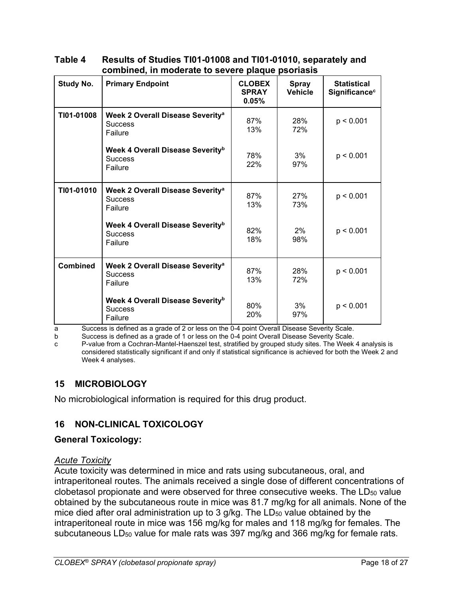| <b>Study No.</b> | <b>Primary Endpoint</b>                                                   | <b>CLOBEX</b><br><b>SPRAY</b><br>0.05% | <b>Spray</b><br><b>Vehicle</b> | <b>Statistical</b><br>Significance <sup>c</sup> |
|------------------|---------------------------------------------------------------------------|----------------------------------------|--------------------------------|-------------------------------------------------|
| TI01-01008       | Week 2 Overall Disease Severity <sup>a</sup><br><b>Success</b><br>Failure | 87%<br>13%                             | 28%<br>72%                     | p < 0.001                                       |
|                  | Week 4 Overall Disease Severity <sup>b</sup><br><b>Success</b><br>Failure | 78%<br>22%                             | 3%<br>97%                      | p < 0.001                                       |
| TI01-01010       | Week 2 Overall Disease Severity <sup>a</sup><br><b>Success</b><br>Failure | 87%<br>13%                             | 27%<br>73%                     | p < 0.001                                       |
|                  | Week 4 Overall Disease Severity <sup>b</sup><br><b>Success</b><br>Failure | 82%<br>18%                             | 2%<br>98%                      | p < 0.001                                       |
| <b>Combined</b>  | Week 2 Overall Disease Severity <sup>a</sup><br><b>Success</b><br>Failure | 87%<br>13%                             | 28%<br>72%                     | p < 0.001                                       |
|                  | Week 4 Overall Disease Severity <sup>b</sup><br><b>Success</b><br>Failure | 80%<br>20%                             | 3%<br>97%                      | p < 0.001                                       |

#### **Table 4 Results of Studies TI01-01008 and TI01-01010, separately and combined, in moderate to severe plaque psoriasis**

a Success is defined as a grade of 2 or less on the 0-4 point Overall Disease Severity Scale.<br>b Success is defined as a grade of 1 or less on the 0-4 point Overall Disease Severity Scale.

Success is defined as a grade of 1 or less on the 0-4 point Overall Disease Severity Scale.

c P-value from a Cochran-Mantel-Haenszel test, stratified by grouped study sites. The Week 4 analysis is considered statistically significant if and only if statistical significance is achieved for both the Week 2 and Week 4 analyses.

## <span id="page-17-0"></span>**15 MICROBIOLOGY**

No microbiological information is required for this drug product.

## <span id="page-17-1"></span>**16 NON-CLINICAL TOXICOLOGY**

## **General Toxicology:**

## *Acute Toxicity*

Acute toxicity was determined in mice and rats using subcutaneous, oral, and intraperitoneal routes. The animals received a single dose of different concentrations of clobetasol propionate and were observed for three consecutive weeks. The LD<sub>50</sub> value obtained by the subcutaneous route in mice was 81.7 mg/kg for all animals. None of the mice died after oral administration up to  $3$  g/kg. The LD<sub>50</sub> value obtained by the intraperitoneal route in mice was 156 mg/kg for males and 118 mg/kg for females. The subcutaneous LD<sub>50</sub> value for male rats was 397 mg/kg and 366 mg/kg for female rats.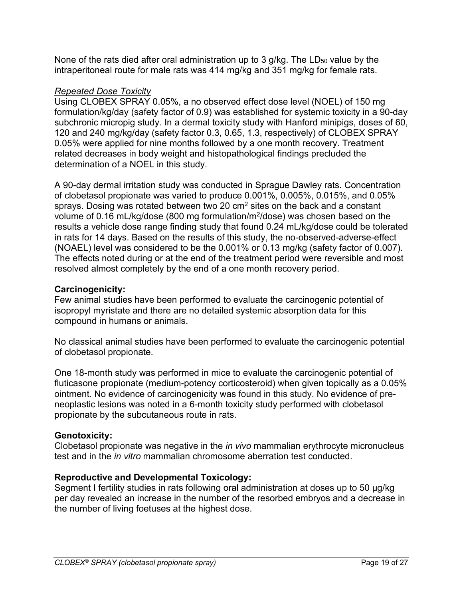None of the rats died after oral administration up to 3  $q/kg$ . The LD $_{50}$  value by the intraperitoneal route for male rats was 414 mg/kg and 351 mg/kg for female rats.

## *Repeated Dose Toxicity*

Using CLOBEX SPRAY 0.05%, a no observed effect dose level (NOEL) of 150 mg formulation/kg/day (safety factor of 0.9) was established for systemic toxicity in a 90-day subchronic micropig study. In a dermal toxicity study with Hanford minipigs, doses of 60, 120 and 240 mg/kg/day (safety factor 0.3, 0.65, 1.3, respectively) of CLOBEX SPRAY 0.05% were applied for nine months followed by a one month recovery. Treatment related decreases in body weight and histopathological findings precluded the determination of a NOEL in this study.

A 90-day dermal irritation study was conducted in Sprague Dawley rats. Concentration of clobetasol propionate was varied to produce 0.001%, 0.005%, 0.015%, and 0.05% sprays. Dosing was rotated between two 20  $\text{cm}^2$  sites on the back and a constant volume of 0.16 mL/kg/dose (800 mg formulation/m2/dose) was chosen based on the results a vehicle dose range finding study that found 0.24 mL/kg/dose could be tolerated in rats for 14 days. Based on the results of this study, the no-observed-adverse-effect (NOAEL) level was considered to be the 0.001% or 0.13 mg/kg (safety factor of 0.007). The effects noted during or at the end of the treatment period were reversible and most resolved almost completely by the end of a one month recovery period.

## **Carcinogenicity:**

Few animal studies have been performed to evaluate the carcinogenic potential of isopropyl myristate and there are no detailed systemic absorption data for this compound in humans or animals.

No classical animal studies have been performed to evaluate the carcinogenic potential of clobetasol propionate.

One 18-month study was performed in mice to evaluate the carcinogenic potential of fluticasone propionate (medium-potency corticosteroid) when given topically as a 0.05% ointment. No evidence of carcinogenicity was found in this study. No evidence of preneoplastic lesions was noted in a 6-month toxicity study performed with clobetasol propionate by the subcutaneous route in rats.

## **Genotoxicity:**

Clobetasol propionate was negative in the *in vivo* mammalian erythrocyte micronucleus test and in the *in vitro* mammalian chromosome aberration test conducted.

## **Reproductive and Developmental Toxicology:**

Segment I fertility studies in rats following oral administration at doses up to 50 µg/kg per day revealed an increase in the number of the resorbed embryos and a decrease in the number of living foetuses at the highest dose.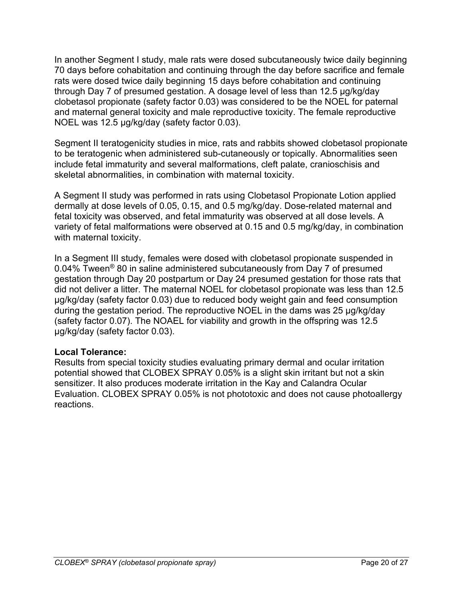In another Segment I study, male rats were dosed subcutaneously twice daily beginning 70 days before cohabitation and continuing through the day before sacrifice and female rats were dosed twice daily beginning 15 days before cohabitation and continuing through Day 7 of presumed gestation. A dosage level of less than 12.5 µg/kg/day clobetasol propionate (safety factor 0.03) was considered to be the NOEL for paternal and maternal general toxicity and male reproductive toxicity. The female reproductive NOEL was 12.5 µg/kg/day (safety factor 0.03).

Segment II teratogenicity studies in mice, rats and rabbits showed clobetasol propionate to be teratogenic when administered sub-cutaneously or topically. Abnormalities seen include fetal immaturity and several malformations, cleft palate, cranioschisis and skeletal abnormalities, in combination with maternal toxicity.

A Segment II study was performed in rats using Clobetasol Propionate Lotion applied dermally at dose levels of 0.05, 0.15, and 0.5 mg/kg/day. Dose-related maternal and fetal toxicity was observed, and fetal immaturity was observed at all dose levels. A variety of fetal malformations were observed at 0.15 and 0.5 mg/kg/day, in combination with maternal toxicity.

In a Segment III study, females were dosed with clobetasol propionate suspended in 0.04% Tween® 80 in saline administered subcutaneously from Day 7 of presumed gestation through Day 20 postpartum or Day 24 presumed gestation for those rats that did not deliver a litter. The maternal NOEL for clobetasol propionate was less than 12.5 µg/kg/day (safety factor 0.03) due to reduced body weight gain and feed consumption during the gestation period. The reproductive NOEL in the dams was 25 µg/kg/day (safety factor 0.07). The NOAEL for viability and growth in the offspring was 12.5 µg/kg/day (safety factor 0.03).

#### **Local Tolerance:**

Results from special toxicity studies evaluating primary dermal and ocular irritation potential showed that CLOBEX SPRAY 0.05% is a slight skin irritant but not a skin sensitizer. It also produces moderate irritation in the Kay and Calandra Ocular Evaluation. CLOBEX SPRAY 0.05% is not phototoxic and does not cause photoallergy reactions.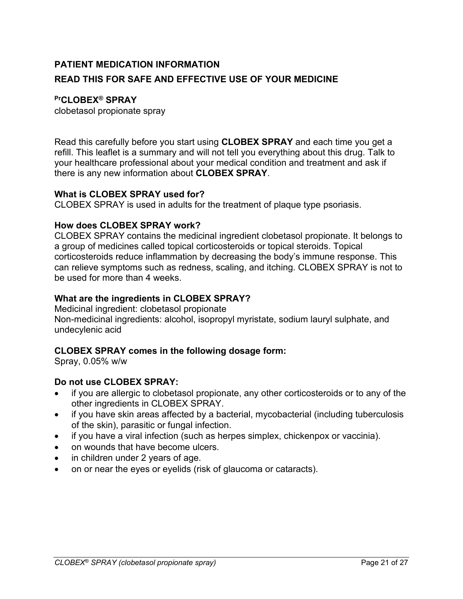# <span id="page-20-0"></span>**PATIENT MEDICATION INFORMATION READ THIS FOR SAFE AND EFFECTIVE USE OF YOUR MEDICINE**

## **PrCLOBEX® SPRAY**

clobetasol propionate spray

Read this carefully before you start using **CLOBEX SPRAY** and each time you get a refill. This leaflet is a summary and will not tell you everything about this drug. Talk to your healthcare professional about your medical condition and treatment and ask if there is any new information about **CLOBEX SPRAY**.

### **What is CLOBEX SPRAY used for?**

CLOBEX SPRAY is used in adults for the treatment of plaque type psoriasis.

### **How does CLOBEX SPRAY work?**

CLOBEX SPRAY contains the medicinal ingredient clobetasol propionate. It belongs to a group of medicines called topical corticosteroids or topical steroids. Topical corticosteroids reduce inflammation by decreasing the body's immune response. This can relieve symptoms such as redness, scaling, and itching. CLOBEX SPRAY is not to be used for more than 4 weeks.

### **What are the ingredients in CLOBEX SPRAY?**

Medicinal ingredient: clobetasol propionate

Non-medicinal ingredients: alcohol, isopropyl myristate, sodium lauryl sulphate, and undecylenic acid

## **CLOBEX SPRAY comes in the following dosage form:**

Spray, 0.05% w/w

## **Do not use CLOBEX SPRAY:**

- if you are allergic to clobetasol propionate, any other corticosteroids or to any of the other ingredients in CLOBEX SPRAY.
- if you have skin areas affected by a bacterial, mycobacterial (including tuberculosis of the skin), parasitic or fungal infection.
- if you have a viral infection (such as herpes simplex, chickenpox or vaccinia).
- on wounds that have become ulcers.
- in children under 2 years of age.
- on or near the eyes or eyelids (risk of glaucoma or cataracts).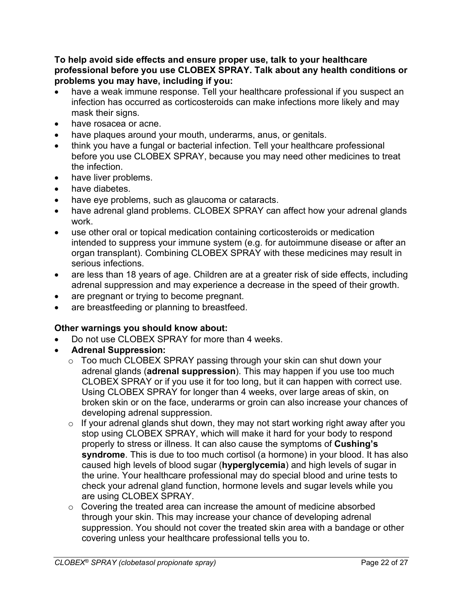#### **To help avoid side effects and ensure proper use, talk to your healthcare professional before you use CLOBEX SPRAY. Talk about any health conditions or problems you may have, including if you:**

- have a weak immune response. Tell your healthcare professional if you suspect an infection has occurred as corticosteroids can make infections more likely and may mask their signs.
- have rosacea or acne.
- have plaques around your mouth, underarms, anus, or genitals.
- think you have a fungal or bacterial infection. Tell your healthcare professional before you use CLOBEX SPRAY, because you may need other medicines to treat the infection.
- have liver problems.
- have diabetes.
- have eye problems, such as glaucoma or cataracts.
- have adrenal gland problems. CLOBEX SPRAY can affect how your adrenal glands work.
- use other oral or topical medication containing corticosteroids or medication intended to suppress your immune system (e.g. for autoimmune disease or after an organ transplant). Combining CLOBEX SPRAY with these medicines may result in serious infections.
- are less than 18 years of age. Children are at a greater risk of side effects, including adrenal suppression and may experience a decrease in the speed of their growth.
- are pregnant or trying to become pregnant.
- are breastfeeding or planning to breastfeed.

## **Other warnings you should know about:**

- Do not use CLOBEX SPRAY for more than 4 weeks.
- **Adrenal Suppression:**
	- o Too much CLOBEX SPRAY passing through your skin can shut down your adrenal glands (**adrenal suppression**). This may happen if you use too much CLOBEX SPRAY or if you use it for too long, but it can happen with correct use. Using CLOBEX SPRAY for longer than 4 weeks, over large areas of skin, on broken skin or on the face, underarms or groin can also increase your chances of developing adrenal suppression.
	- $\circ$  If your adrenal glands shut down, they may not start working right away after you stop using CLOBEX SPRAY, which will make it hard for your body to respond properly to stress or illness. It can also cause the symptoms of **Cushing's syndrome**. This is due to too much cortisol (a hormone) in your blood. It has also caused high levels of blood sugar (**hyperglycemia**) and high levels of sugar in the urine. Your healthcare professional may do special blood and urine tests to check your adrenal gland function, hormone levels and sugar levels while you are using CLOBEX SPRAY.
	- o Covering the treated area can increase the amount of medicine absorbed through your skin. This may increase your chance of developing adrenal suppression. You should not cover the treated skin area with a bandage or other covering unless your healthcare professional tells you to.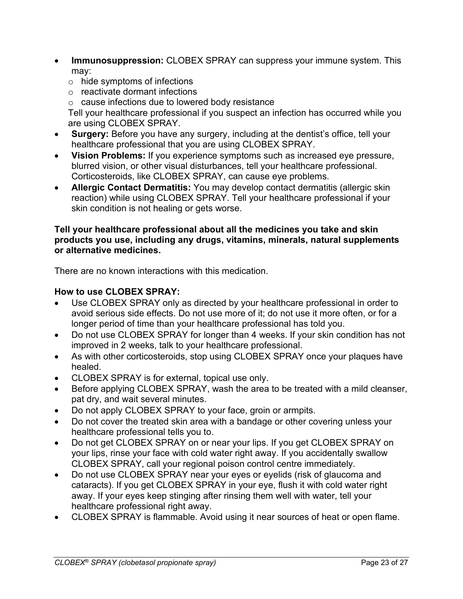- **Immunosuppression:** CLOBEX SPRAY can suppress your immune system. This may:
	- o hide symptoms of infections
	- o reactivate dormant infections
	- o cause infections due to lowered body resistance

Tell your healthcare professional if you suspect an infection has occurred while you are using CLOBEX SPRAY.

- **Surgery:** Before you have any surgery, including at the dentist's office, tell your healthcare professional that you are using CLOBEX SPRAY.
- **Vision Problems:** If you experience symptoms such as increased eye pressure, blurred vision, or other visual disturbances, tell your healthcare professional. Corticosteroids, like CLOBEX SPRAY, can cause eye problems.
- **Allergic Contact Dermatitis:** You may develop contact dermatitis (allergic skin reaction) while using CLOBEX SPRAY. Tell your healthcare professional if your skin condition is not healing or gets worse.

#### **Tell your healthcare professional about all the medicines you take and skin products you use, including any drugs, vitamins, minerals, natural supplements or alternative medicines.**

There are no known interactions with this medication.

## **How to use CLOBEX SPRAY:**

- Use CLOBEX SPRAY only as directed by your healthcare professional in order to avoid serious side effects. Do not use more of it; do not use it more often, or for a longer period of time than your healthcare professional has told you.
- Do not use CLOBEX SPRAY for longer than 4 weeks. If your skin condition has not improved in 2 weeks, talk to your healthcare professional.
- As with other corticosteroids, stop using CLOBEX SPRAY once your plaques have healed.
- CLOBEX SPRAY is for external, topical use only.
- Before applying CLOBEX SPRAY, wash the area to be treated with a mild cleanser, pat dry, and wait several minutes.
- Do not apply CLOBEX SPRAY to your face, groin or armpits.
- Do not cover the treated skin area with a bandage or other covering unless your healthcare professional tells you to.
- Do not get CLOBEX SPRAY on or near your lips. If you get CLOBEX SPRAY on your lips, rinse your face with cold water right away. If you accidentally swallow CLOBEX SPRAY, call your regional poison control centre immediately.
- Do not use CLOBEX SPRAY near your eyes or eyelids (risk of glaucoma and cataracts). If you get CLOBEX SPRAY in your eye, flush it with cold water right away. If your eyes keep stinging after rinsing them well with water, tell your healthcare professional right away.
- CLOBEX SPRAY is flammable. Avoid using it near sources of heat or open flame.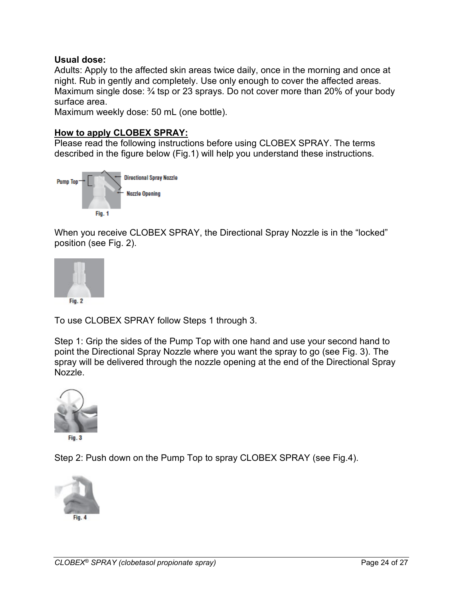### **Usual dose:**

Adults: Apply to the affected skin areas twice daily, once in the morning and once at night. Rub in gently and completely. Use only enough to cover the affected areas. Maximum single dose: 3/4 tsp or 23 sprays. Do not cover more than 20% of your body surface area.

Maximum weekly dose: 50 mL (one bottle).

#### **How to apply CLOBEX SPRAY:**

Please read the following instructions before using CLOBEX SPRAY. The terms described in the figure below (Fig.1) will help you understand these instructions.



When you receive CLOBEX SPRAY, the Directional Spray Nozzle is in the "locked" position (see Fig. 2).



To use CLOBEX SPRAY follow Steps 1 through 3.

Step 1: Grip the sides of the Pump Top with one hand and use your second hand to point the Directional Spray Nozzle where you want the spray to go (see Fig. 3). The spray will be delivered through the nozzle opening at the end of the Directional Spray Nozzle.



Fig. 3

Step 2: Push down on the Pump Top to spray CLOBEX SPRAY (see Fig.4).

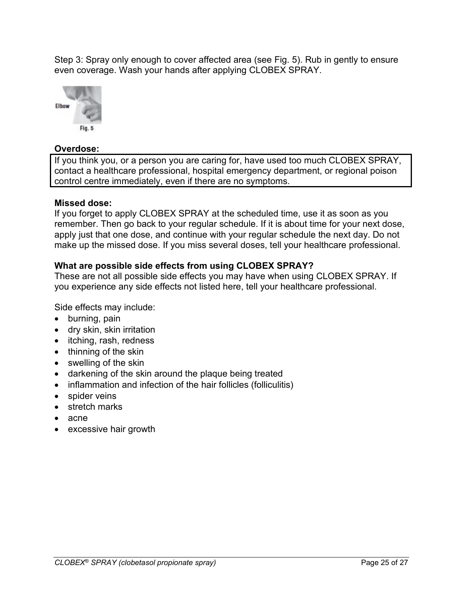Step 3: Spray only enough to cover affected area (see Fig. 5). Rub in gently to ensure even coverage. Wash your hands after applying CLOBEX SPRAY.



#### **Overdose:**

If you think you, or a person you are caring for, have used too much CLOBEX SPRAY, contact a healthcare professional, hospital emergency department, or regional poison control centre immediately, even if there are no symptoms.

### **Missed dose:**

If you forget to apply CLOBEX SPRAY at the scheduled time, use it as soon as you remember. Then go back to your regular schedule. If it is about time for your next dose, apply just that one dose, and continue with your regular schedule the next day. Do not make up the missed dose. If you miss several doses, tell your healthcare professional.

### **What are possible side effects from using CLOBEX SPRAY?**

These are not all possible side effects you may have when using CLOBEX SPRAY. If you experience any side effects not listed here, tell your healthcare professional.

Side effects may include:

- burning, pain
- dry skin, skin irritation
- itching, rash, redness
- thinning of the skin
- swelling of the skin
- darkening of the skin around the plaque being treated
- inflammation and infection of the hair follicles (folliculitis)
- spider veins
- stretch marks
- acne
- excessive hair growth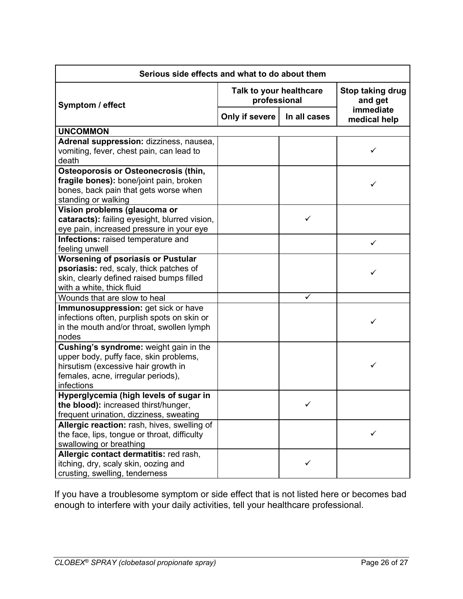| Serious side effects and what to do about them                                                                                                         |                                         |                             |                           |  |
|--------------------------------------------------------------------------------------------------------------------------------------------------------|-----------------------------------------|-----------------------------|---------------------------|--|
| Symptom / effect                                                                                                                                       | Talk to your healthcare<br>professional | Stop taking drug<br>and get |                           |  |
|                                                                                                                                                        | Only if severe                          | In all cases                | immediate<br>medical help |  |
| <b>UNCOMMON</b>                                                                                                                                        |                                         |                             |                           |  |
| Adrenal suppression: dizziness, nausea,<br>vomiting, fever, chest pain, can lead to<br>death                                                           |                                         |                             |                           |  |
| <b>Osteoporosis or Osteonecrosis (thin,</b><br>fragile bones): bone/joint pain, broken<br>bones, back pain that gets worse when<br>standing or walking |                                         |                             | ✓                         |  |
| Vision problems (glaucoma or<br>cataracts): failing eyesight, blurred vision,<br>eye pain, increased pressure in your eye                              |                                         | ✓                           |                           |  |
| Infections: raised temperature and<br>feeling unwell                                                                                                   |                                         |                             | $\checkmark$              |  |
| <b>Worsening of psoriasis or Pustular</b>                                                                                                              |                                         |                             |                           |  |
| psoriasis: red, scaly, thick patches of                                                                                                                |                                         |                             | ✓                         |  |
| skin, clearly defined raised bumps filled                                                                                                              |                                         |                             |                           |  |
| with a white, thick fluid<br>Wounds that are slow to heal                                                                                              |                                         | ✓                           |                           |  |
| Immunosuppression: get sick or have                                                                                                                    |                                         |                             |                           |  |
| infections often, purplish spots on skin or<br>in the mouth and/or throat, swollen lymph<br>nodes                                                      |                                         |                             | ✓                         |  |
| Cushing's syndrome: weight gain in the                                                                                                                 |                                         |                             |                           |  |
| upper body, puffy face, skin problems,                                                                                                                 |                                         |                             |                           |  |
| hirsutism (excessive hair growth in                                                                                                                    |                                         |                             | $\checkmark$              |  |
| females, acne, irregular periods),                                                                                                                     |                                         |                             |                           |  |
| infections                                                                                                                                             |                                         |                             |                           |  |
| Hyperglycemia (high levels of sugar in<br>the blood): increased thirst/hunger,                                                                         |                                         |                             |                           |  |
| frequent urination, dizziness, sweating                                                                                                                |                                         |                             |                           |  |
| Allergic reaction: rash, hives, swelling of                                                                                                            |                                         |                             |                           |  |
| the face, lips, tongue or throat, difficulty                                                                                                           |                                         |                             | ✓                         |  |
| swallowing or breathing                                                                                                                                |                                         |                             |                           |  |
| Allergic contact dermatitis: red rash,                                                                                                                 |                                         |                             |                           |  |
| itching, dry, scaly skin, oozing and                                                                                                                   |                                         | ✓                           |                           |  |
| crusting, swelling, tenderness                                                                                                                         |                                         |                             |                           |  |

If you have a troublesome symptom or side effect that is not listed here or becomes bad enough to interfere with your daily activities, tell your healthcare professional.